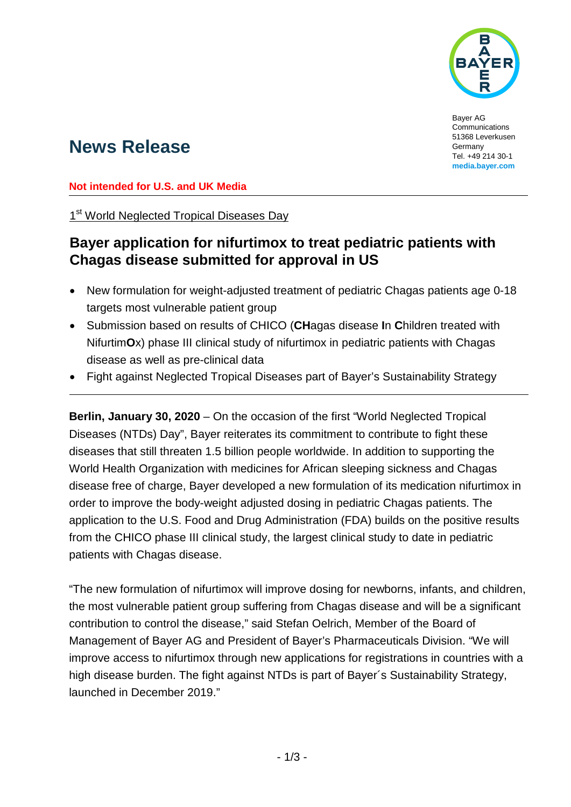

Bayer AG Communications 51368 Leverkusen Germany Tel. +49 214 30-1 **media.bayer.com**

# **News Release**

**Not intended for U.S. and UK Media**

1<sup>st</sup> World Neglected Tropical Diseases Day

## **Bayer application for nifurtimox to treat pediatric patients with Chagas disease submitted for approval in US**

- New formulation for weight-adjusted treatment of pediatric Chagas patients age 0-18 targets most vulnerable patient group
- Submission based on results of CHICO (**CH**agas disease **I**n **C**hildren treated with Nifurtim**O**x) phase III clinical study of nifurtimox in pediatric patients with Chagas disease as well as pre-clinical data
- Fight against Neglected Tropical Diseases part of Bayer's Sustainability Strategy

**Berlin, January 30, 2020** – On the occasion of the first "World Neglected Tropical Diseases (NTDs) Day", Bayer reiterates its commitment to contribute to fight these diseases that still threaten 1.5 billion people worldwide. In addition to supporting the World Health Organization with medicines for African sleeping sickness and Chagas disease free of charge, Bayer developed a new formulation of its medication nifurtimox in order to improve the body-weight adjusted dosing in pediatric Chagas patients. The application to the U.S. Food and Drug Administration (FDA) builds on the positive results from the CHICO phase III clinical study, the largest clinical study to date in pediatric patients with Chagas disease.

"The new formulation of nifurtimox will improve dosing for newborns, infants, and children, the most vulnerable patient group suffering from Chagas disease and will be a significant contribution to control the disease," said Stefan Oelrich, Member of the Board of Management of Bayer AG and President of Bayer's Pharmaceuticals Division. "We will improve access to nifurtimox through new applications for registrations in countries with a high disease burden. The fight against NTDs is part of Bayer´s Sustainability Strategy, launched in December 2019."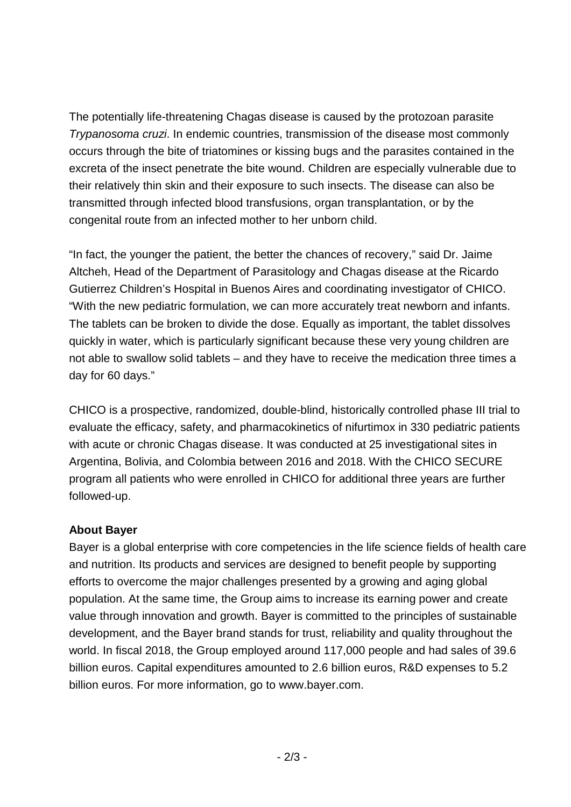The potentially life-threatening Chagas disease is caused by the protozoan parasite *Trypanosoma cruzi*. In endemic countries, transmission of the disease most commonly occurs through the bite of triatomines or kissing bugs and the parasites contained in the excreta of the insect penetrate the bite wound. Children are especially vulnerable due to their relatively thin skin and their exposure to such insects. The disease can also be transmitted through infected blood transfusions, organ transplantation, or by the congenital route from an infected mother to her unborn child.

"In fact, the younger the patient, the better the chances of recovery," said Dr. Jaime Altcheh, Head of the Department of Parasitology and Chagas disease at the Ricardo Gutierrez Children's Hospital in Buenos Aires and coordinating investigator of CHICO. "With the new pediatric formulation, we can more accurately treat newborn and infants. The tablets can be broken to divide the dose. Equally as important, the tablet dissolves quickly in water, which is particularly significant because these very young children are not able to swallow solid tablets – and they have to receive the medication three times a day for 60 days."

CHICO is a prospective, randomized, double-blind, historically controlled phase III trial to evaluate the efficacy, safety, and pharmacokinetics of nifurtimox in 330 pediatric patients with acute or chronic Chagas disease. It was conducted at 25 investigational sites in Argentina, Bolivia, and Colombia between 2016 and 2018. With the CHICO SECURE program all patients who were enrolled in CHICO for additional three years are further followed-up.

### **About Bayer**

Bayer is a global enterprise with core competencies in the life science fields of health care and nutrition. Its products and services are designed to benefit people by supporting efforts to overcome the major challenges presented by a growing and aging global population. At the same time, the Group aims to increase its earning power and create value through innovation and growth. Bayer is committed to the principles of sustainable development, and the Bayer brand stands for trust, reliability and quality throughout the world. In fiscal 2018, the Group employed around 117,000 people and had sales of 39.6 billion euros. Capital expenditures amounted to 2.6 billion euros, R&D expenses to 5.2 billion euros. For more information, go to [www.bayer.com.](http://www.bayer.com/)